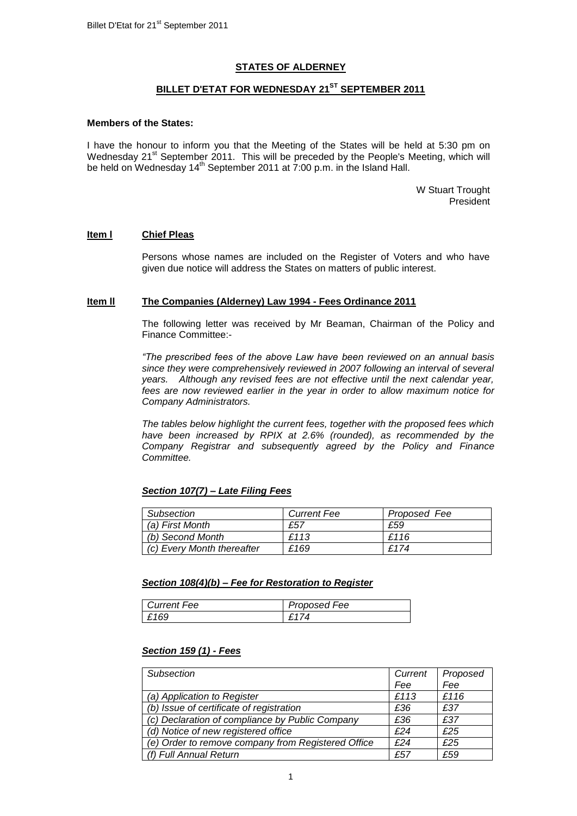## **STATES OF ALDERNEY**

## **BILLET D'ETAT FOR WEDNESDAY 21 ST SEPTEMBER 2011**

#### **Members of the States:**

I have the honour to inform you that the Meeting of the States will be held at 5:30 pm on Wednesday 21<sup>st</sup> September 2011. This will be preceded by the People's Meeting, which will be held on Wednesday 14<sup>th</sup> September 2011 at 7:00 p.m. in the Island Hall.

> W Stuart Trought President

### **Item l Chief Pleas**

Persons whose names are included on the Register of Voters and who have given due notice will address the States on matters of public interest.

#### **Item ll The Companies (Alderney) Law 1994 - Fees Ordinance 2011**

The following letter was received by Mr Beaman, Chairman of the Policy and Finance Committee:-

*"The prescribed fees of the above Law have been reviewed on an annual basis since they were comprehensively reviewed in 2007 following an interval of several years. Although any revised fees are not effective until the next calendar year, fees are now reviewed earlier in the year in order to allow maximum notice for Company Administrators.*

*The tables below highlight the current fees, together with the proposed fees which have been increased by RPIX at 2.6% (rounded), as recommended by the Company Registrar and subsequently agreed by the Policy and Finance Committee.* 

### *Section 107(7) – Late Filing Fees*

| Subsection                 | <b>Current Fee</b> | Proposed Fee |
|----------------------------|--------------------|--------------|
| (a) First Month            | £57                | £59          |
| (b) Second Month           | £113               | £116         |
| (c) Every Month thereafter | £169               | £174         |

### *Section 108(4)(b) – Fee for Restoration to Register*

| Current Fee | Proposed Fee |
|-------------|--------------|
| 169         | 74           |

### *Section 159 (1) - Fees*

| Subsection                                         | Current | Proposed |
|----------------------------------------------------|---------|----------|
|                                                    | Fee     | Fee      |
| (a) Application to Register                        | £113    | £116     |
| (b) Issue of certificate of registration           | £36     | £37      |
| (c) Declaration of compliance by Public Company    | £36     | £37      |
| (d) Notice of new registered office                | f24     | £25      |
| (e) Order to remove company from Registered Office | f24     | £25      |
| (f) Full Annual Return                             | £57     | £59      |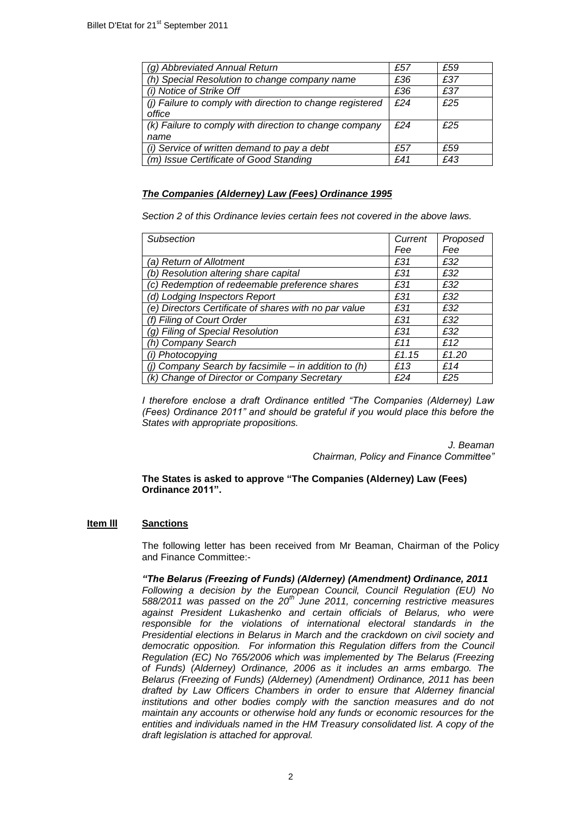| (g) Abbreviated Annual Return                             | £57 | £59 |
|-----------------------------------------------------------|-----|-----|
| (h) Special Resolution to change company name             | £36 | £37 |
| (i) Notice of Strike Off                                  | £36 | £37 |
| (i) Failure to comply with direction to change registered | f24 | f25 |
| office                                                    |     |     |
| (k) Failure to comply with direction to change company    | £24 | £25 |
| name                                                      |     |     |
| (i) Service of written demand to pay a debt               | £57 | £59 |
| (m) Issue Certificate of Good Standing                    | £41 | £43 |

## *The Companies (Alderney) Law (Fees) Ordinance 1995*

*Section 2 of this Ordinance levies certain fees not covered in the above laws.* 

| <b>Subsection</b>                                     | Current | Proposed |
|-------------------------------------------------------|---------|----------|
|                                                       | Fee     | Fee      |
| <i>(a) Return of Allotment</i>                        | £31     | £32      |
| (b) Resolution altering share capital                 | £31     | £32      |
| (c) Redemption of redeemable preference shares        | £31     | £32      |
| (d) Lodging Inspectors Report                         | £31     | £32      |
| (e) Directors Certificate of shares with no par value | £31     | £32      |
| (f) Filing of Court Order                             | £31     | £32      |
| (g) Filing of Special Resolution                      | £31     | £32      |
| (h) Company Search                                    | f11     | £12      |
| (i) Photocopying                                      | £1.15   | £1.20    |
| (j) Company Search by facsimile - in addition to (h)  | £13     | £14      |
| (k) Change of Director or Company Secretary           | £24     | £25      |

*I therefore enclose a draft Ordinance entitled "The Companies (Alderney) Law (Fees) Ordinance 2011" and should be grateful if you would place this before the States with appropriate propositions.* 

> *J. Beaman Chairman, Policy and Finance Committee"*

### **The States is asked to approve "The Companies (Alderney) Law (Fees) Ordinance 2011".**

### **Item lll Sanctions**

The following letter has been received from Mr Beaman, Chairman of the Policy and Finance Committee:-

# *"The Belarus (Freezing of Funds) (Alderney) (Amendment) Ordinance, 2011*

*Following a decision by the European Council, Council Regulation (EU) No 588/2011 was passed on the 20th June 2011, concerning restrictive measures against President Lukashenko and certain officials of Belarus, who were responsible for the violations of international electoral standards in the Presidential elections in Belarus in March and the crackdown on civil society and democratic opposition. For information this Regulation differs from the Council Regulation (EC) No 765/2006 which was implemented by The Belarus (Freezing of Funds) (Alderney) Ordinance, 2006 as it includes an arms embargo. The Belarus (Freezing of Funds) (Alderney) (Amendment) Ordinance, 2011 has been drafted by Law Officers Chambers in order to ensure that Alderney financial institutions and other bodies comply with the sanction measures and do not maintain any accounts or otherwise hold any funds or economic resources for the entities and individuals named in the HM Treasury consolidated list. A copy of the draft legislation is attached for approval.*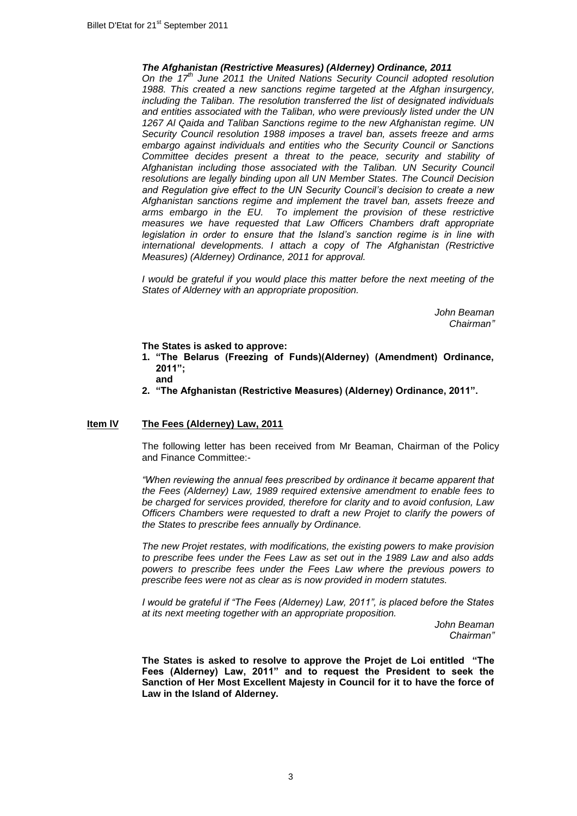### *The Afghanistan (Restrictive Measures) (Alderney) Ordinance, 2011*

*On the 17th June 2011 the United Nations Security Council adopted resolution 1988. This created a new sanctions regime targeted at the Afghan insurgency, including the Taliban. The resolution transferred the list of designated individuals and entities associated with the Taliban, who were previously listed under the UN 1267 Al Qaida and Taliban Sanctions regime to the new Afghanistan regime. UN Security Council resolution 1988 imposes a travel ban, assets freeze and arms embargo against individuals and entities who the Security Council or Sanctions Committee decides present a threat to the peace, security and stability of Afghanistan including those associated with the Taliban. UN Security Council resolutions are legally binding upon all UN Member States. The Council Decision and Regulation give effect to the UN Security Council's decision to create a new Afghanistan sanctions regime and implement the travel ban, assets freeze and arms embargo in the EU. To implement the provision of these restrictive measures we have requested that Law Officers Chambers draft appropriate legislation in order to ensure that the Island's sanction regime is in line with international developments. I attach a copy of The Afghanistan (Restrictive Measures) (Alderney) Ordinance, 2011 for approval.*

*I* would be grateful if you would place this matter before the next meeting of the *States of Alderney with an appropriate proposition.*

> *John Beaman Chairman"*

**The States is asked to approve:**

- **1. "The Belarus (Freezing of Funds)(Alderney) (Amendment) Ordinance, 2011"; and**
- **2. "The Afghanistan (Restrictive Measures) (Alderney) Ordinance, 2011".**

### **Item lV The Fees (Alderney) Law, 2011**

The following letter has been received from Mr Beaman, Chairman of the Policy and Finance Committee:-

*"When reviewing the annual fees prescribed by ordinance it became apparent that the Fees (Alderney) Law, 1989 required extensive amendment to enable fees to be charged for services provided, therefore for clarity and to avoid confusion, Law Officers Chambers were requested to draft a new Projet to clarify the powers of the States to prescribe fees annually by Ordinance.*

*The new Projet restates, with modifications, the existing powers to make provision to prescribe fees under the Fees Law as set out in the 1989 Law and also adds powers to prescribe fees under the Fees Law where the previous powers to prescribe fees were not as clear as is now provided in modern statutes.*

*I would be grateful if "The Fees (Alderney) Law, 2011", is placed before the States at its next meeting together with an appropriate proposition.*

> *John Beaman Chairman"*

**The States is asked to resolve to approve the Projet de Loi entitled "The Fees (Alderney) Law, 2011" and to request the President to seek the Sanction of Her Most Excellent Majesty in Council for it to have the force of Law in the Island of Alderney.**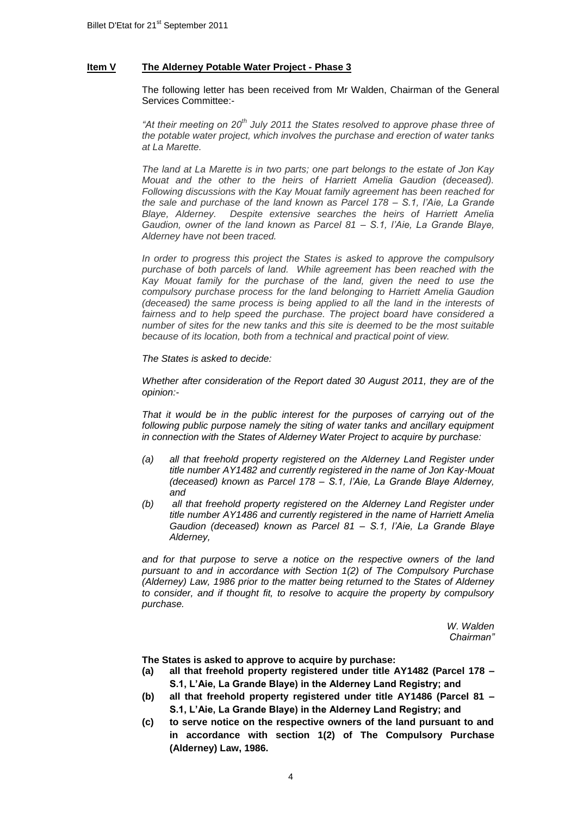### **Item V The Alderney Potable Water Project - Phase 3**

The following letter has been received from Mr Walden, Chairman of the General Services Committee:-

*"At their meeting on 20th July 2011 the States resolved to approve phase three of the potable water project, which involves the purchase and erection of water tanks at La Marette.* 

*The land at La Marette is in two parts; one part belongs to the estate of Jon Kay Mouat and the other to the heirs of Harriett Amelia Gaudion (deceased). Following discussions with the Kay Mouat family agreement has been reached for the sale and purchase of the land known as Parcel 178 – S.1, l'Aie, La Grande Blaye, Alderney. Despite extensive searches the heirs of Harriett Amelia Gaudion, owner of the land known as Parcel 81 – S.1, l'Aie, La Grande Blaye, Alderney have not been traced.*

*In order to progress this project the States is asked to approve the compulsory purchase of both parcels of land. While agreement has been reached with the Kay Mouat family for the purchase of the land, given the need to use the compulsory purchase process for the land belonging to Harriett Amelia Gaudion (deceased) the same process is being applied to all the land in the interests of*  fairness and to help speed the purchase. The project board have considered a *number of sites for the new tanks and this site is deemed to be the most suitable because of its location, both from a technical and practical point of view.*

*The States is asked to decide:*

*Whether after consideration of the Report dated 30 August 2011, they are of the opinion:-*

*That it would be in the public interest for the purposes of carrying out of the following public purpose namely the siting of water tanks and ancillary equipment in connection with the States of Alderney Water Project to acquire by purchase:*

- *(a) all that freehold property registered on the Alderney Land Register under title number AY1482 and currently registered in the name of Jon Kay-Mouat (deceased) known as Parcel 178 – S.1, l'Aie, La Grande Blaye Alderney, and*
- *(b) all that freehold property registered on the Alderney Land Register under title number AY1486 and currently registered in the name of Harriett Amelia Gaudion (deceased) known as Parcel 81 – S.1, l'Aie, La Grande Blaye Alderney,*

*and for that purpose to serve a notice on the respective owners of the land pursuant to and in accordance with Section 1(2) of The Compulsory Purchase (Alderney) Law, 1986 prior to the matter being returned to the States of Alderney to consider, and if thought fit, to resolve to acquire the property by compulsory purchase.*

> *W. Walden Chairman"*

**The States is asked to approve to acquire by purchase:**

- **(a) all that freehold property registered under title AY1482 (Parcel 178 – S.1, L'Aie, La Grande Blaye) in the Alderney Land Registry; and**
- **(b) all that freehold property registered under title AY1486 (Parcel 81 – S.1, L'Aie, La Grande Blaye) in the Alderney Land Registry; and**
- **(c) to serve notice on the respective owners of the land pursuant to and in accordance with section 1(2) of The Compulsory Purchase (Alderney) Law, 1986.**